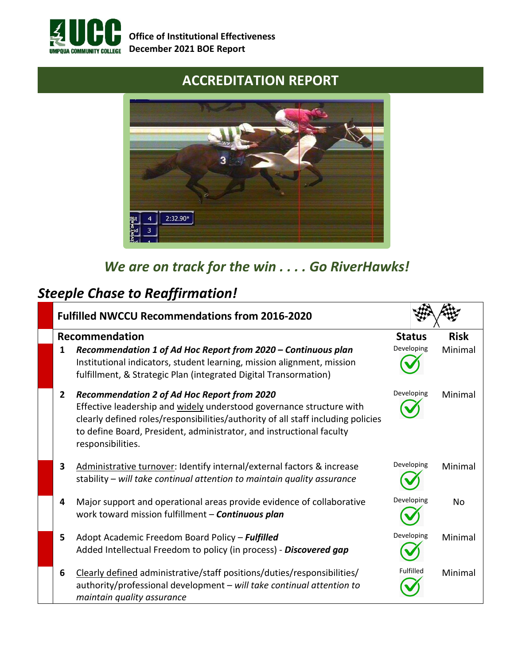

#### **ACCREDITATION REPORT**



# *We are on track for the win . . . . Go RiverHawks!*

## *Steeple Chase to Reaffirmation!*

|                         | <b>Fulfilled NWCCU Recommendations from 2016-2020</b>                                                                                                                                                                                                                                                       |               |             |  |  |  |
|-------------------------|-------------------------------------------------------------------------------------------------------------------------------------------------------------------------------------------------------------------------------------------------------------------------------------------------------------|---------------|-------------|--|--|--|
|                         | Recommendation                                                                                                                                                                                                                                                                                              | <b>Status</b> | <b>Risk</b> |  |  |  |
| 1                       | Recommendation 1 of Ad Hoc Report from 2020 - Continuous plan<br>Institutional indicators, student learning, mission alignment, mission<br>fulfillment, & Strategic Plan (integrated Digital Transormation)                                                                                                 | Developing    | Minimal     |  |  |  |
| $\mathbf{2}$            | <b>Recommendation 2 of Ad Hoc Report from 2020</b><br>Effective leadership and widely understood governance structure with<br>clearly defined roles/responsibilities/authority of all staff including policies<br>to define Board, President, administrator, and instructional faculty<br>responsibilities. | Developing    | Minimal     |  |  |  |
| $\overline{\mathbf{3}}$ | Administrative turnover: Identify internal/external factors & increase<br>stability – will take continual attention to maintain quality assurance                                                                                                                                                           | Developing    | Minimal     |  |  |  |
| 4                       | Major support and operational areas provide evidence of collaborative<br>work toward mission fulfillment - Continuous plan                                                                                                                                                                                  | Developing    | No          |  |  |  |
| 5.                      | Adopt Academic Freedom Board Policy - Fulfilled<br>Added Intellectual Freedom to policy (in process) - Discovered gap                                                                                                                                                                                       | Developing    | Minimal     |  |  |  |
| 6                       | Clearly defined administrative/staff positions/duties/responsibilities/<br>authority/professional development - will take continual attention to<br>maintain quality assurance                                                                                                                              | Fulfilled     | Minimal     |  |  |  |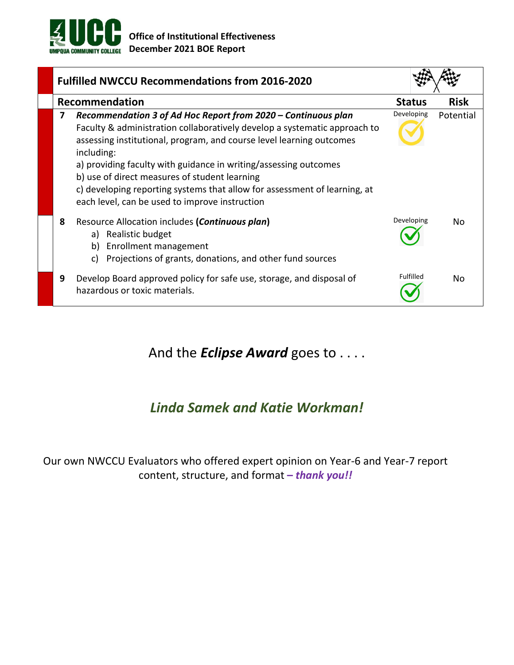

| <b>Fulfilled NWCCU Recommendations from 2016-2020</b>                                                                                                                                                                                                                                                                                                                                                                                                                                     |               |             |  |  |  |
|-------------------------------------------------------------------------------------------------------------------------------------------------------------------------------------------------------------------------------------------------------------------------------------------------------------------------------------------------------------------------------------------------------------------------------------------------------------------------------------------|---------------|-------------|--|--|--|
| Recommendation                                                                                                                                                                                                                                                                                                                                                                                                                                                                            | <b>Status</b> | <b>Risk</b> |  |  |  |
| Recommendation 3 of Ad Hoc Report from 2020 - Continuous plan<br>7<br>Faculty & administration collaboratively develop a systematic approach to<br>assessing institutional, program, and course level learning outcomes<br>including:<br>a) providing faculty with guidance in writing/assessing outcomes<br>b) use of direct measures of student learning<br>c) developing reporting systems that allow for assessment of learning, at<br>each level, can be used to improve instruction | Developing    | Potential   |  |  |  |
| Resource Allocation includes (Continuous plan)<br>8<br>Realistic budget<br>a)<br>Enrollment management<br>b)<br>Projections of grants, donations, and other fund sources<br>C)                                                                                                                                                                                                                                                                                                            | Developing    | N٥          |  |  |  |
| Develop Board approved policy for safe use, storage, and disposal of<br>9<br>hazardous or toxic materials.                                                                                                                                                                                                                                                                                                                                                                                | Fulfilled     | No          |  |  |  |

And the *Eclipse Award* goes to . . . .

### *Linda Samek and Katie Workman!*

Our own NWCCU Evaluators who offered expert opinion on Year-6 and Year-7 report content, structure, and format **–** *thank you!!*